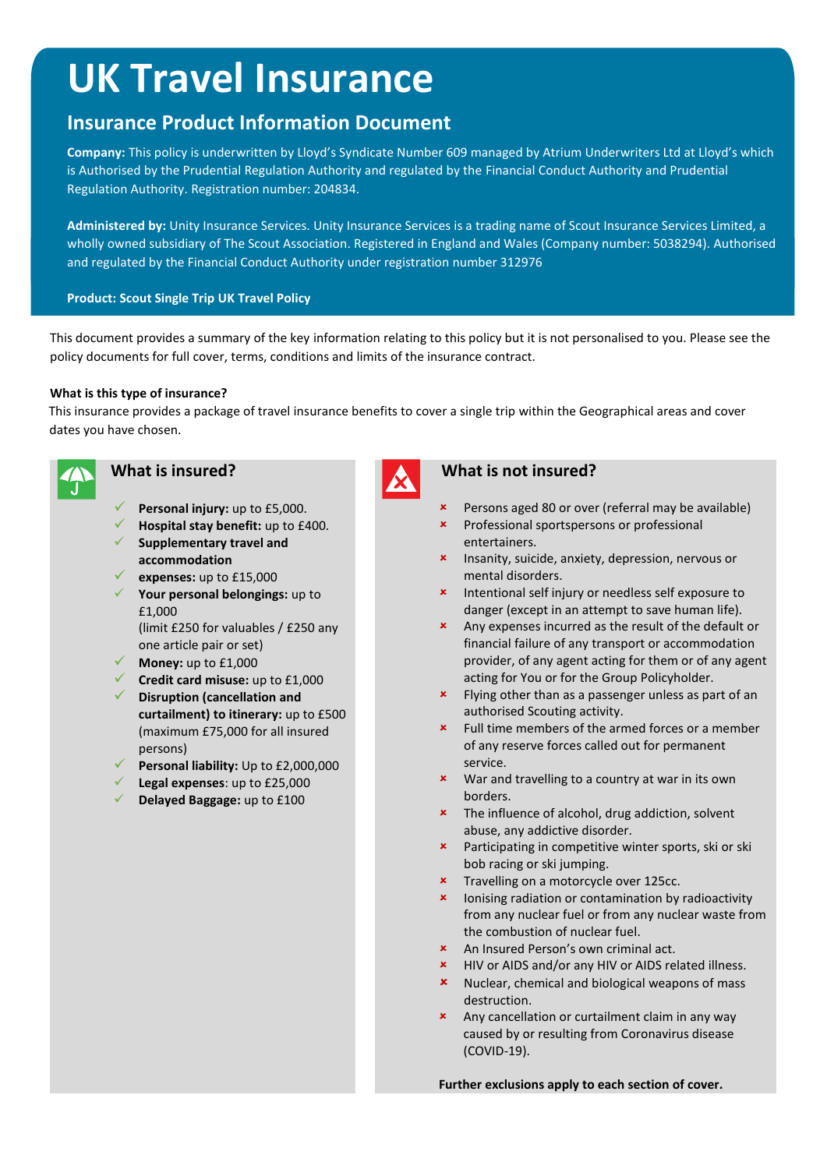# **UK Travel Insurance**

## **Insurance Product Information Document**

**Company:** This policy is underwritten by Lloyd's Syndicate Number 609 managed by Atrium Underwriters Ltd at Lloyd's which is Authorised by the Prudential Regulation Authority and regulated by the Financial Conduct Authority and Prudential Regulation Authority. Registration number: 204834.

**Administered by:** Unity Insurance Services. Unity Insurance Services is a trading name of Scout Insurance Services Limited, a wholly owned subsidiary of The Scout Association. Registered in England and Wales (Company number: 5038294). Authorised and regulated by the Financial Conduct Authority under registration number 312976

#### **Product: Scout Single Trip UK Travel Policy**

This document provides a summary of the key information relating to this policy but it is not personalised to you. Please see the policy documents for full cover, terms, conditions and limits of the insurance contract.

#### **What is this type of insurance?**

This insurance provides a package of travel insurance benefits to cover a single trip within the Geographical areas and cover dates you have chosen.



- **Personal injury:** up to £5,000.
- **Hospital stay benefit:** up to £400. **Supplementary travel and**
- **accommodation**
- **expenses:** up to £15,000
- **Your personal belongings:** up to £1,000

(limit £250 for valuables / £250 any one article pair or set)

- **Money:** up to £1,000
- **Credit card misuse:** up to £1,000
- **Disruption (cancellation and curtailment) to itinerary:** up to £500
- (maximum £75,000 for all insured persons)
- **Personal liability:** Up to £2,000,000
- **Legal expenses**: up to £25,000
- **Delayed Baggage:** up to £100

#### **What is insured? What is not insured?**

- Persons aged 80 or over (referral may be available)
- **\*** Professional sportspersons or professional entertainers.
- **\*** Insanity, suicide, anxiety, depression, nervous or mental disorders.
- **\*** Intentional self injury or needless self exposure to danger (except in an attempt to save human life).
- Any expenses incurred as the result of the default or financial failure of any transport or accommodation provider, of any agent acting for them or of any agent acting for You or for the Group Policyholder.
- **\*** Flying other than as a passenger unless as part of an authorised Scouting activity.
- Full time members of the armed forces or a member of any reserve forces called out for permanent service.
- **x** War and travelling to a country at war in its own borders.
- **\*** The influence of alcohol, drug addiction, solvent abuse, any addictive disorder.
- **\*** Participating in competitive winter sports, ski or ski bob racing or ski jumping.
- **\*** Travelling on a motorcycle over 125cc.
- **x** lonising radiation or contamination by radioactivity from any nuclear fuel or from any nuclear waste from the combustion of nuclear fuel.
- An Insured Person's own criminal act.
- HIV or AIDS and/or any HIV or AIDS related illness.
- **x** Nuclear, chemical and biological weapons of mass destruction.
- Any cancellation or curtailment claim in any way caused by or resulting from Coronavirus disease (COVID-19).

**Further exclusions apply to each section of cover.**